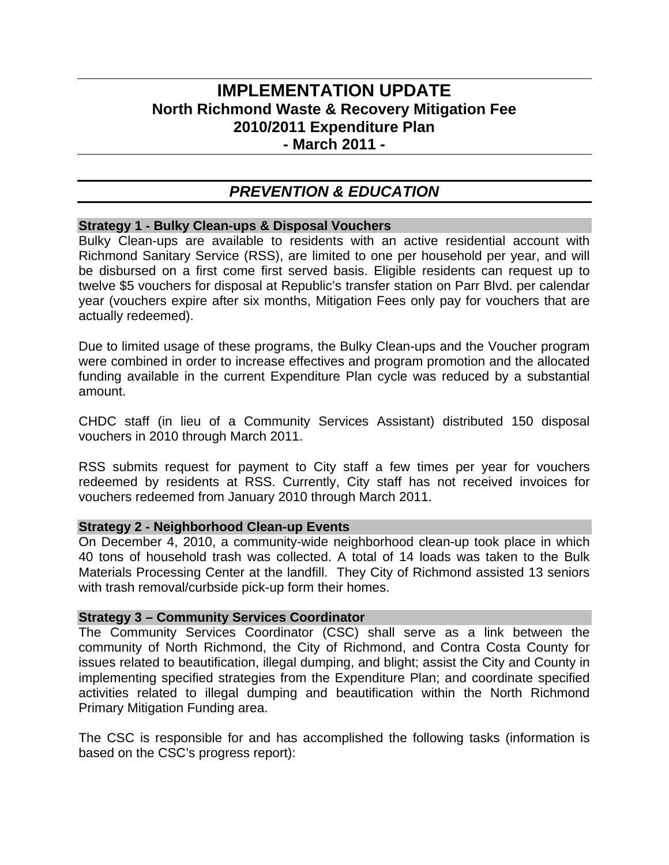# **IMPLEMENTATION UPDATE North Richmond Waste & Recovery Mitigation Fee 2010/2011 Expenditure Plan - March 2011 -**

# *PREVENTION & EDUCATION*

#### **Strategy 1 - Bulky Clean-ups & Disposal Vouchers**

Bulky Clean-ups are available to residents with an active residential account with Richmond Sanitary Service (RSS), are limited to one per household per year, and will be disbursed on a first come first served basis. Eligible residents can request up to twelve \$5 vouchers for disposal at Republic's transfer station on Parr Blvd. per calendar year (vouchers expire after six months, Mitigation Fees only pay for vouchers that are actually redeemed).

Due to limited usage of these programs, the Bulky Clean-ups and the Voucher program were combined in order to increase effectives and program promotion and the allocated funding available in the current Expenditure Plan cycle was reduced by a substantial amount.

CHDC staff (in lieu of a Community Services Assistant) distributed 150 disposal vouchers in 2010 through March 2011.

RSS submits request for payment to City staff a few times per year for vouchers redeemed by residents at RSS. Currently, City staff has not received invoices for vouchers redeemed from January 2010 through March 2011.

#### **Strategy 2 - Neighborhood Clean-up Events**

On December 4, 2010, a community-wide neighborhood clean-up took place in which 40 tons of household trash was collected. A total of 14 loads was taken to the Bulk Materials Processing Center at the landfill. They City of Richmond assisted 13 seniors with trash removal/curbside pick-up form their homes.

#### **Strategy 3 – Community Services Coordinator**

The Community Services Coordinator (CSC) shall serve as a link between the community of North Richmond, the City of Richmond, and Contra Costa County for issues related to beautification, illegal dumping, and blight; assist the City and County in implementing specified strategies from the Expenditure Plan; and coordinate specified activities related to illegal dumping and beautification within the North Richmond Primary Mitigation Funding area.

The CSC is responsible for and has accomplished the following tasks (information is based on the CSC's progress report):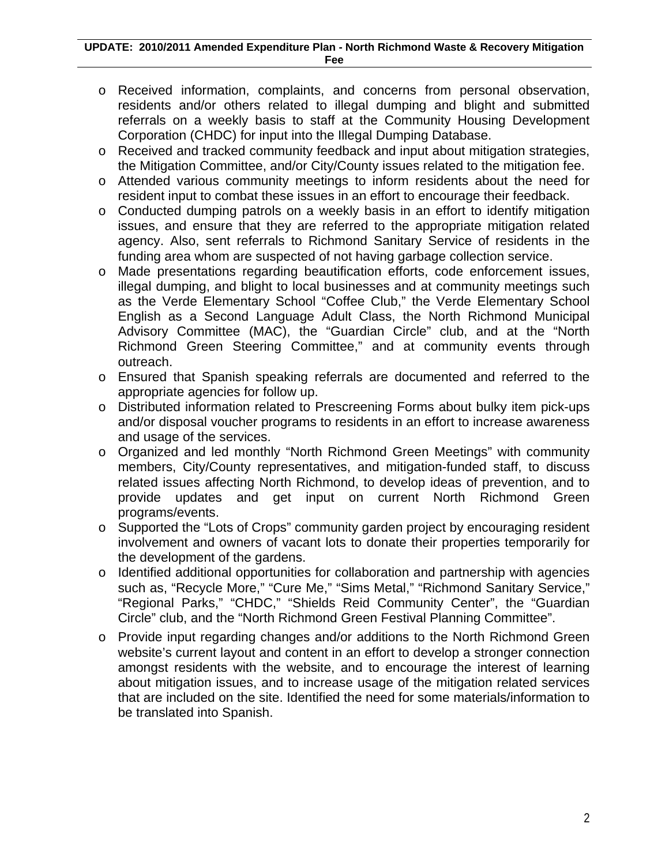- o Received information, complaints, and concerns from personal observation, residents and/or others related to illegal dumping and blight and submitted referrals on a weekly basis to staff at the Community Housing Development Corporation (CHDC) for input into the Illegal Dumping Database.
- o Received and tracked community feedback and input about mitigation strategies, the Mitigation Committee, and/or City/County issues related to the mitigation fee.
- o Attended various community meetings to inform residents about the need for resident input to combat these issues in an effort to encourage their feedback.
- o Conducted dumping patrols on a weekly basis in an effort to identify mitigation issues, and ensure that they are referred to the appropriate mitigation related agency. Also, sent referrals to Richmond Sanitary Service of residents in the funding area whom are suspected of not having garbage collection service.
- o Made presentations regarding beautification efforts, code enforcement issues, illegal dumping, and blight to local businesses and at community meetings such as the Verde Elementary School "Coffee Club," the Verde Elementary School English as a Second Language Adult Class, the North Richmond Municipal Advisory Committee (MAC), the "Guardian Circle" club, and at the "North Richmond Green Steering Committee," and at community events through outreach.
- o Ensured that Spanish speaking referrals are documented and referred to the appropriate agencies for follow up.
- o Distributed information related to Prescreening Forms about bulky item pick-ups and/or disposal voucher programs to residents in an effort to increase awareness and usage of the services.
- o Organized and led monthly "North Richmond Green Meetings" with community members, City/County representatives, and mitigation-funded staff, to discuss related issues affecting North Richmond, to develop ideas of prevention, and to provide updates and get input on current North Richmond Green programs/events.
- o Supported the "Lots of Crops" community garden project by encouraging resident involvement and owners of vacant lots to donate their properties temporarily for the development of the gardens.
- o Identified additional opportunities for collaboration and partnership with agencies such as, "Recycle More," "Cure Me," "Sims Metal," "Richmond Sanitary Service," "Regional Parks," "CHDC," "Shields Reid Community Center", the "Guardian Circle" club, and the "North Richmond Green Festival Planning Committee".
- o Provide input regarding changes and/or additions to the North Richmond Green website's current layout and content in an effort to develop a stronger connection amongst residents with the website, and to encourage the interest of learning about mitigation issues, and to increase usage of the mitigation related services that are included on the site. Identified the need for some materials/information to be translated into Spanish.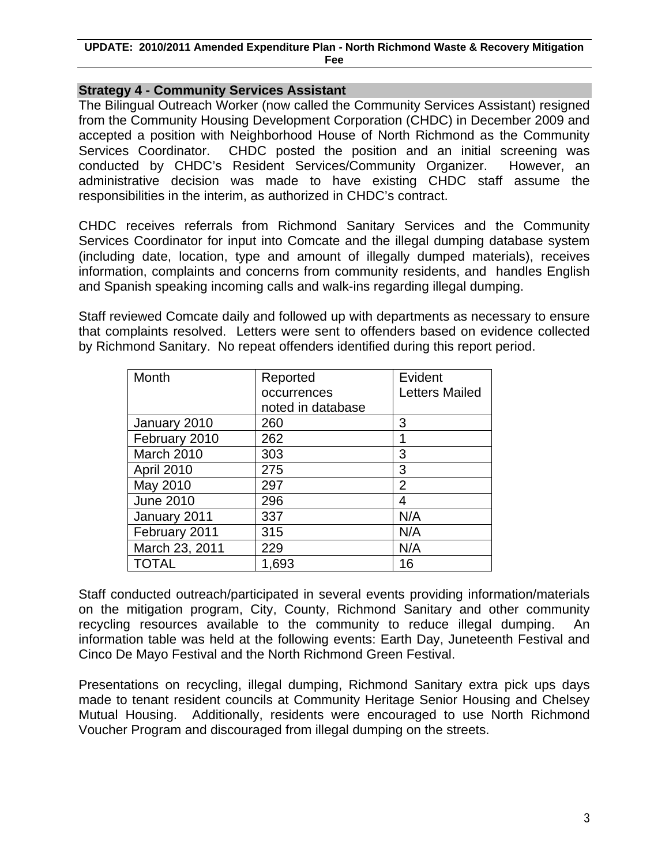#### **UPDATE: 2010/2011 Amended Expenditure Plan - North Richmond Waste & Recovery Mitigation Fee**

#### **Strategy 4 - Community Services Assistant**

The Bilingual Outreach Worker (now called the Community Services Assistant) resigned from the Community Housing Development Corporation (CHDC) in December 2009 and accepted a position with Neighborhood House of North Richmond as the Community Services Coordinator. CHDC posted the position and an initial screening was conducted by CHDC's Resident Services/Community Organizer. However, an administrative decision was made to have existing CHDC staff assume the responsibilities in the interim, as authorized in CHDC's contract.

CHDC receives referrals from Richmond Sanitary Services and the Community Services Coordinator for input into Comcate and the illegal dumping database system (including date, location, type and amount of illegally dumped materials), receives information, complaints and concerns from community residents, and handles English and Spanish speaking incoming calls and walk-ins regarding illegal dumping.

Staff reviewed Comcate daily and followed up with departments as necessary to ensure that complaints resolved. Letters were sent to offenders based on evidence collected by Richmond Sanitary. No repeat offenders identified during this report period.

| Month            | Reported          | Evident               |
|------------------|-------------------|-----------------------|
|                  | occurrences       | <b>Letters Mailed</b> |
|                  | noted in database |                       |
| January 2010     | 260               | 3                     |
| February 2010    | 262               |                       |
| March 2010       | 303               | 3                     |
| April 2010       | 275               | 3                     |
| May 2010         | 297               | 2                     |
| <b>June 2010</b> | 296               | 4                     |
| January 2011     | 337               | N/A                   |
| February 2011    | 315               | N/A                   |
| March 23, 2011   | 229               | N/A                   |
| <b>TOTAL</b>     | 1,693             | 16                    |

Staff conducted outreach/participated in several events providing information/materials on the mitigation program, City, County, Richmond Sanitary and other community recycling resources available to the community to reduce illegal dumping. An information table was held at the following events: Earth Day, Juneteenth Festival and Cinco De Mayo Festival and the North Richmond Green Festival.

Presentations on recycling, illegal dumping, Richmond Sanitary extra pick ups days made to tenant resident councils at Community Heritage Senior Housing and Chelsey Mutual Housing. Additionally, residents were encouraged to use North Richmond Voucher Program and discouraged from illegal dumping on the streets.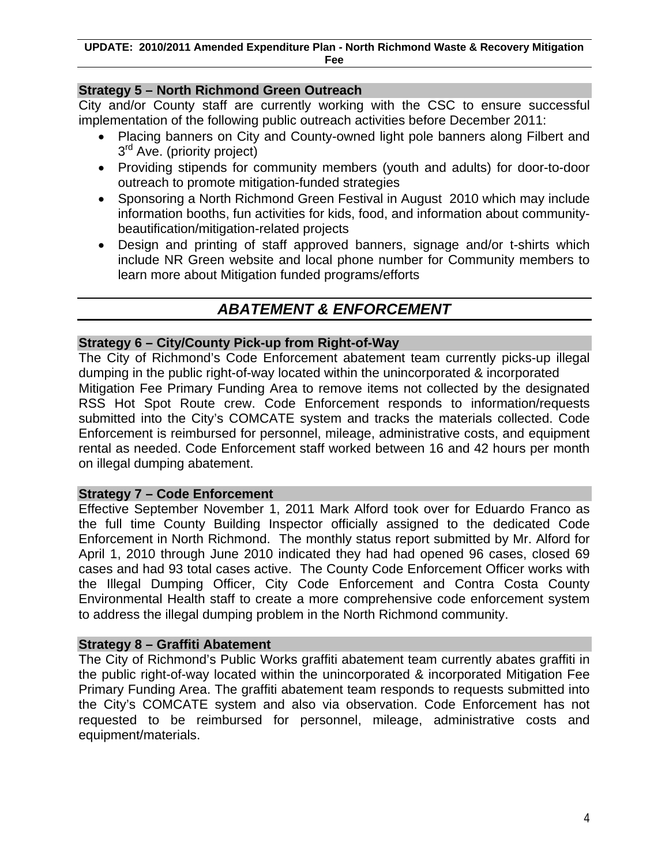# **Strategy 5 – North Richmond Green Outreach**

City and/or County staff are currently working with the CSC to ensure successful implementation of the following public outreach activities before December 2011:

- Placing banners on City and County-owned light pole banners along Filbert and 3<sup>rd</sup> Ave. (priority project)
- Providing stipends for community members (youth and adults) for door-to-door outreach to promote mitigation-funded strategies
- Sponsoring a North Richmond Green Festival in August 2010 which may include information booths, fun activities for kids, food, and information about communitybeautification/mitigation-related projects
- Design and printing of staff approved banners, signage and/or t-shirts which include NR Green website and local phone number for Community members to learn more about Mitigation funded programs/efforts

# *ABATEMENT & ENFORCEMENT*

#### **Strategy 6 – City/County Pick-up from Right-of-Way**

The City of Richmond's Code Enforcement abatement team currently picks-up illegal dumping in the public right-of-way located within the unincorporated & incorporated Mitigation Fee Primary Funding Area to remove items not collected by the designated RSS Hot Spot Route crew. Code Enforcement responds to information/requests submitted into the City's COMCATE system and tracks the materials collected. Code Enforcement is reimbursed for personnel, mileage, administrative costs, and equipment rental as needed. Code Enforcement staff worked between 16 and 42 hours per month on illegal dumping abatement.

#### **Strategy 7 – Code Enforcement**

Effective September November 1, 2011 Mark Alford took over for Eduardo Franco as the full time County Building Inspector officially assigned to the dedicated Code Enforcement in North Richmond. The monthly status report submitted by Mr. Alford for April 1, 2010 through June 2010 indicated they had had opened 96 cases, closed 69 cases and had 93 total cases active. The County Code Enforcement Officer works with the Illegal Dumping Officer, City Code Enforcement and Contra Costa County Environmental Health staff to create a more comprehensive code enforcement system to address the illegal dumping problem in the North Richmond community.

#### **Strategy 8 – Graffiti Abatement**

The City of Richmond's Public Works graffiti abatement team currently abates graffiti in the public right-of-way located within the unincorporated & incorporated Mitigation Fee Primary Funding Area. The graffiti abatement team responds to requests submitted into the City's COMCATE system and also via observation. Code Enforcement has not requested to be reimbursed for personnel, mileage, administrative costs and equipment/materials.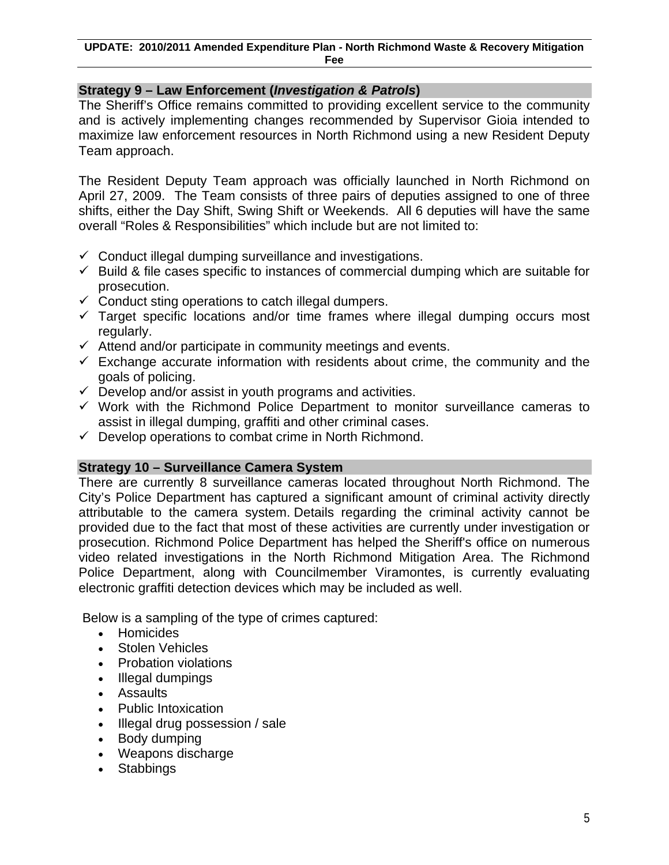## **Strategy 9 – Law Enforcement (***Investigation & Patrols***)**

The Sheriff's Office remains committed to providing excellent service to the community and is actively implementing changes recommended by Supervisor Gioia intended to maximize law enforcement resources in North Richmond using a new Resident Deputy Team approach.

The Resident Deputy Team approach was officially launched in North Richmond on April 27, 2009. The Team consists of three pairs of deputies assigned to one of three shifts, either the Day Shift, Swing Shift or Weekends. All 6 deputies will have the same overall "Roles & Responsibilities" which include but are not limited to:

- $\checkmark$  Conduct illegal dumping surveillance and investigations.
- $\checkmark$  Build & file cases specific to instances of commercial dumping which are suitable for prosecution.
- $\checkmark$  Conduct sting operations to catch illegal dumpers.
- $\checkmark$  Target specific locations and/or time frames where illegal dumping occurs most regularly.
- $\checkmark$  Attend and/or participate in community meetings and events.
- $\checkmark$  Exchange accurate information with residents about crime, the community and the goals of policing.
- $\checkmark$  Develop and/or assist in youth programs and activities.
- $\checkmark$  Work with the Richmond Police Department to monitor surveillance cameras to assist in illegal dumping, graffiti and other criminal cases.
- $\checkmark$  Develop operations to combat crime in North Richmond.

#### **Strategy 10 – Surveillance Camera System**

There are currently 8 surveillance cameras located throughout North Richmond. The City's Police Department has captured a significant amount of criminal activity directly attributable to the camera system. Details regarding the criminal activity cannot be provided due to the fact that most of these activities are currently under investigation or prosecution. Richmond Police Department has helped the Sheriff's office on numerous video related investigations in the North Richmond Mitigation Area. The Richmond Police Department, along with Councilmember Viramontes, is currently evaluating electronic graffiti detection devices which may be included as well.

Below is a sampling of the type of crimes captured:

- Homicides
- Stolen Vehicles
- Probation violations
- Illegal dumpings
- Assaults
- Public Intoxication
- Illegal drug possession / sale
- Body dumping
- Weapons discharge
- Stabbings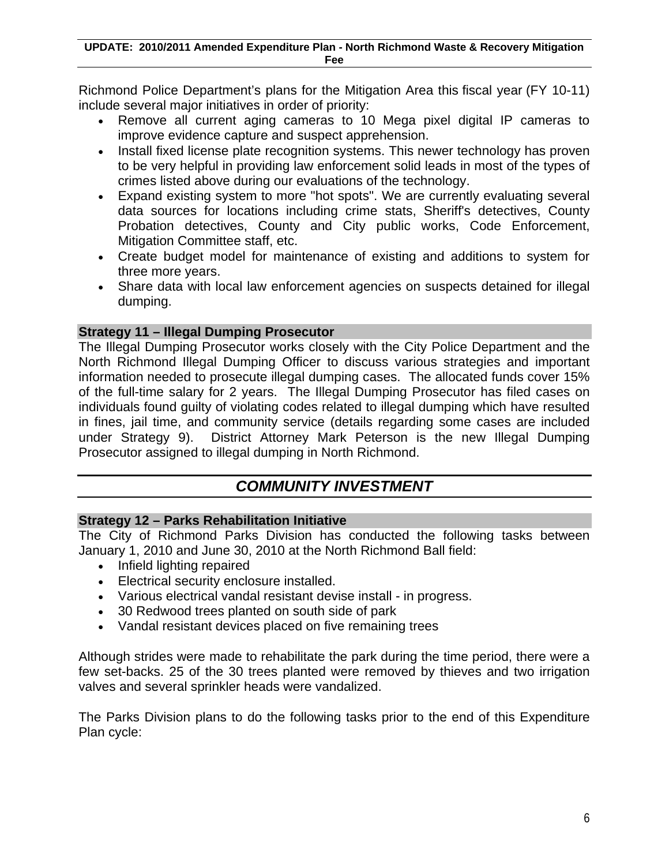Richmond Police Department's plans for the Mitigation Area this fiscal year (FY 10-11) include several major initiatives in order of priority:

- Remove all current aging cameras to 10 Mega pixel digital IP cameras to improve evidence capture and suspect apprehension.
- Install fixed license plate recognition systems. This newer technology has proven to be very helpful in providing law enforcement solid leads in most of the types of crimes listed above during our evaluations of the technology.
- Expand existing system to more "hot spots". We are currently evaluating several data sources for locations including crime stats, Sheriff's detectives, County Probation detectives, County and City public works, Code Enforcement, Mitigation Committee staff, etc.
- Create budget model for maintenance of existing and additions to system for three more years.
- Share data with local law enforcement agencies on suspects detained for illegal dumping.

### **Strategy 11 – Illegal Dumping Prosecutor**

The Illegal Dumping Prosecutor works closely with the City Police Department and the North Richmond Illegal Dumping Officer to discuss various strategies and important information needed to prosecute illegal dumping cases. The allocated funds cover 15% of the full-time salary for 2 years. The Illegal Dumping Prosecutor has filed cases on individuals found guilty of violating codes related to illegal dumping which have resulted in fines, jail time, and community service (details regarding some cases are included under Strategy 9). District Attorney Mark Peterson is the new Illegal Dumping Prosecutor assigned to illegal dumping in North Richmond.

# *COMMUNITY INVESTMENT*

#### **Strategy 12 – Parks Rehabilitation Initiative**

The City of Richmond Parks Division has conducted the following tasks between January 1, 2010 and June 30, 2010 at the North Richmond Ball field:

- Infield lighting repaired
- Electrical security enclosure installed.
- Various electrical vandal resistant devise install in progress.
- 30 Redwood trees planted on south side of park
- Vandal resistant devices placed on five remaining trees

Although strides were made to rehabilitate the park during the time period, there were a few set-backs. 25 of the 30 trees planted were removed by thieves and two irrigation valves and several sprinkler heads were vandalized.

The Parks Division plans to do the following tasks prior to the end of this Expenditure Plan cycle: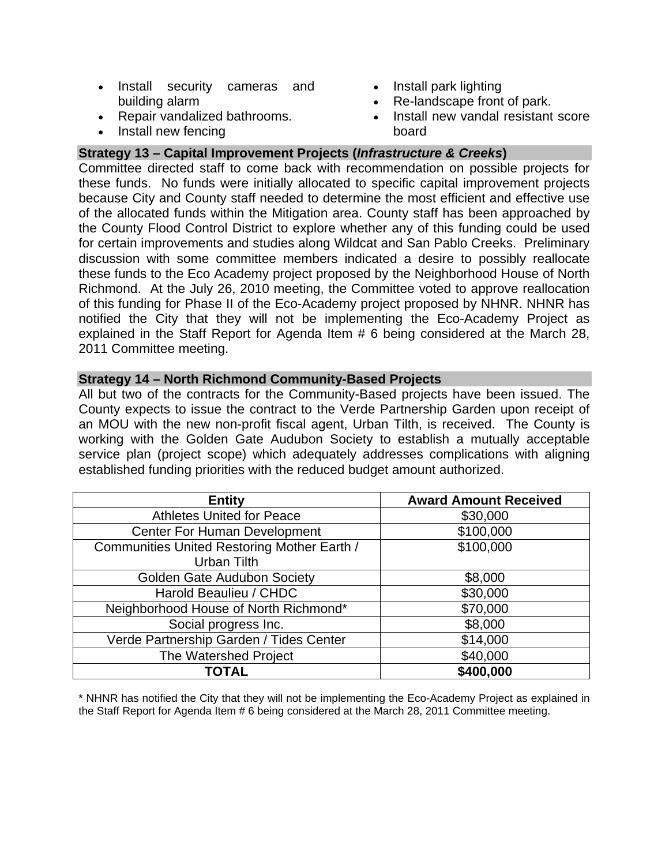- Install security cameras and building alarm
- Repair vandalized bathrooms.
- Install new fencing
- Install park lighting
- Re-landscape front of park.
- Install new vandal resistant score board

## **Strategy 13 – Capital Improvement Projects (***Infrastructure & Creeks***)**

Committee directed staff to come back with recommendation on possible projects for these funds. No funds were initially allocated to specific capital improvement projects because City and County staff needed to determine the most efficient and effective use of the allocated funds within the Mitigation area. County staff has been approached by the County Flood Control District to explore whether any of this funding could be used for certain improvements and studies along Wildcat and San Pablo Creeks. Preliminary discussion with some committee members indicated a desire to possibly reallocate these funds to the Eco Academy project proposed by the Neighborhood House of North Richmond. At the July 26, 2010 meeting, the Committee voted to approve reallocation of this funding for Phase II of the Eco-Academy project proposed by NHNR. NHNR has notified the City that they will not be implementing the Eco-Academy Project as explained in the Staff Report for Agenda Item # 6 being considered at the March 28, 2011 Committee meeting.

#### **Strategy 14 – North Richmond Community-Based Projects**

All but two of the contracts for the Community-Based projects have been issued. The County expects to issue the contract to the Verde Partnership Garden upon receipt of an MOU with the new non-profit fiscal agent, Urban Tilth, is received. The County is working with the Golden Gate Audubon Society to establish a mutually acceptable service plan (project scope) which adequately addresses complications with aligning established funding priorities with the reduced budget amount authorized.

| <b>Entity</b>                               | <b>Award Amount Received</b> |
|---------------------------------------------|------------------------------|
| <b>Athletes United for Peace</b>            | \$30,000                     |
| <b>Center For Human Development</b>         | \$100,000                    |
| Communities United Restoring Mother Earth / | \$100,000                    |
| Urban Tilth                                 |                              |
| <b>Golden Gate Audubon Society</b>          | \$8,000                      |
| Harold Beaulieu / CHDC                      | \$30,000                     |
| Neighborhood House of North Richmond*       | \$70,000                     |
| Social progress Inc.                        | \$8,000                      |
| Verde Partnership Garden / Tides Center     | \$14,000                     |
| The Watershed Project                       | \$40,000                     |
| <b>TOTAL</b>                                | \$400,000                    |

\* NHNR has notified the City that they will not be implementing the Eco-Academy Project as explained in the Staff Report for Agenda Item # 6 being considered at the March 28, 2011 Committee meeting.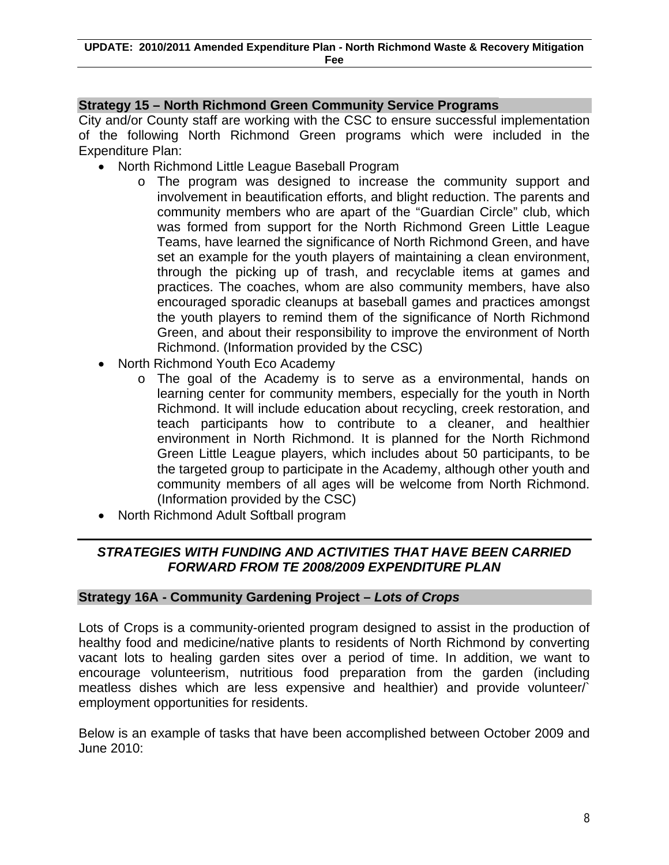### **Strategy 15 – North Richmond Green Community Service Programs**

City and/or County staff are working with the CSC to ensure successful implementation of the following North Richmond Green programs which were included in the Expenditure Plan:

- North Richmond Little League Baseball Program
	- o The program was designed to increase the community support and involvement in beautification efforts, and blight reduction. The parents and community members who are apart of the "Guardian Circle" club, which was formed from support for the North Richmond Green Little League Teams, have learned the significance of North Richmond Green, and have set an example for the youth players of maintaining a clean environment, through the picking up of trash, and recyclable items at games and practices. The coaches, whom are also community members, have also encouraged sporadic cleanups at baseball games and practices amongst the youth players to remind them of the significance of North Richmond Green, and about their responsibility to improve the environment of North Richmond. (Information provided by the CSC)
- North Richmond Youth Eco Academy
	- o The goal of the Academy is to serve as a environmental, hands on learning center for community members, especially for the youth in North Richmond. It will include education about recycling, creek restoration, and teach participants how to contribute to a cleaner, and healthier environment in North Richmond. It is planned for the North Richmond Green Little League players, which includes about 50 participants, to be the targeted group to participate in the Academy, although other youth and community members of all ages will be welcome from North Richmond. (Information provided by the CSC)
- North Richmond Adult Softball program

# *STRATEGIES WITH FUNDING AND ACTIVITIES THAT HAVE BEEN CARRIED FORWARD FROM TE 2008/2009 EXPENDITURE PLAN*

#### **Strategy 16A - Community Gardening Project –** *Lots of Crops*

Lots of Crops is a community-oriented program designed to assist in the production of healthy food and medicine/native plants to residents of North Richmond by converting vacant lots to healing garden sites over a period of time. In addition, we want to encourage volunteerism, nutritious food preparation from the garden (including meatless dishes which are less expensive and healthier) and provide volunteer/` employment opportunities for residents.

Below is an example of tasks that have been accomplished between October 2009 and June 2010: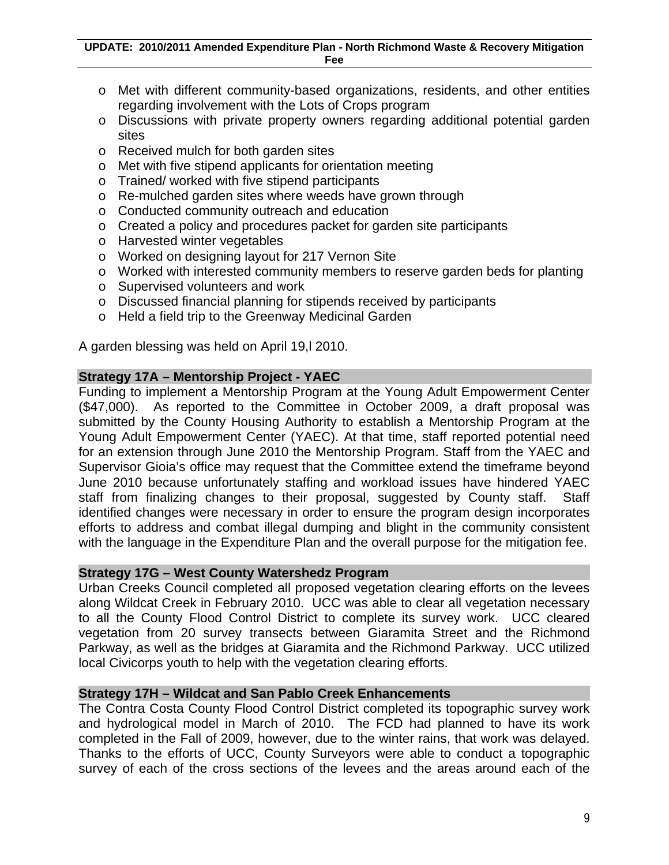- o Met with different community-based organizations, residents, and other entities regarding involvement with the Lots of Crops program
- o Discussions with private property owners regarding additional potential garden sites
- o Received mulch for both garden sites
- o Met with five stipend applicants for orientation meeting
- o Trained/ worked with five stipend participants
- o Re-mulched garden sites where weeds have grown through
- o Conducted community outreach and education
- o Created a policy and procedures packet for garden site participants
- o Harvested winter vegetables
- o Worked on designing layout for 217 Vernon Site
- o Worked with interested community members to reserve garden beds for planting
- o Supervised volunteers and work
- o Discussed financial planning for stipends received by participants
- o Held a field trip to the Greenway Medicinal Garden

A garden blessing was held on April 19,l 2010.

#### **Strategy 17A – Mentorship Project - YAEC**

Funding to implement a Mentorship Program at the Young Adult Empowerment Center (\$47,000). As reported to the Committee in October 2009, a draft proposal was submitted by the County Housing Authority to establish a Mentorship Program at the Young Adult Empowerment Center (YAEC). At that time, staff reported potential need for an extension through June 2010 the Mentorship Program. Staff from the YAEC and Supervisor Gioia's office may request that the Committee extend the timeframe beyond June 2010 because unfortunately staffing and workload issues have hindered YAEC staff from finalizing changes to their proposal, suggested by County staff. Staff identified changes were necessary in order to ensure the program design incorporates efforts to address and combat illegal dumping and blight in the community consistent with the language in the Expenditure Plan and the overall purpose for the mitigation fee.

# **Strategy 17G – West County Watershedz Program**

Urban Creeks Council completed all proposed vegetation clearing efforts on the levees along Wildcat Creek in February 2010. UCC was able to clear all vegetation necessary to all the County Flood Control District to complete its survey work. UCC cleared vegetation from 20 survey transects between Giaramita Street and the Richmond Parkway, as well as the bridges at Giaramita and the Richmond Parkway. UCC utilized local Civicorps youth to help with the vegetation clearing efforts.

#### **Strategy 17H – Wildcat and San Pablo Creek Enhancements**

The Contra Costa County Flood Control District completed its topographic survey work and hydrological model in March of 2010. The FCD had planned to have its work completed in the Fall of 2009, however, due to the winter rains, that work was delayed. Thanks to the efforts of UCC, County Surveyors were able to conduct a topographic survey of each of the cross sections of the levees and the areas around each of the